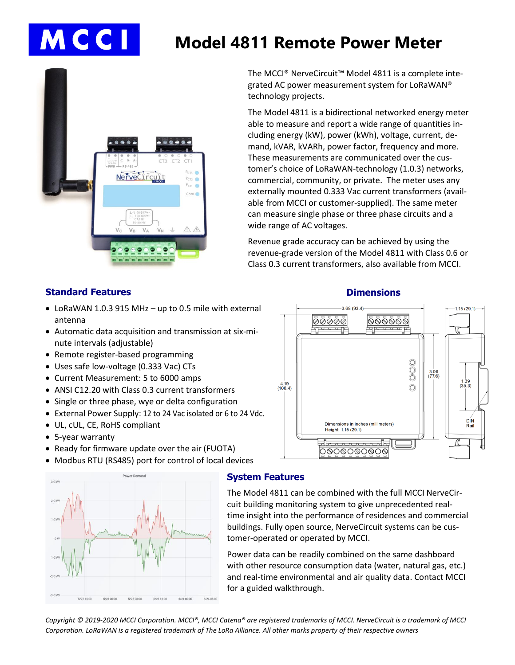# MCCI

# **Model 4811 Remote Power Meter**



The MCCI® NerveCircuit™ Model 4811 is a complete integrated AC power measurement system for LoRaWAN® technology projects.

The Model 4811 is a bidirectional networked energy meter able to measure and report a wide range of quantities including energy (kW), power (kWh), voltage, current, demand, kVAR, kVARh, power factor, frequency and more. These measurements are communicated over the customer's choice of LoRaWAN-technology (1.0.3) networks, commercial, community, or private. The meter uses any externally mounted 0.333 Vac current transformers (available from MCCI or customer-supplied). The same meter can measure single phase or three phase circuits and a wide range of AC voltages.

Revenue grade accuracy can be achieved by using the revenue-grade version of the Model 4811 with Class 0.6 or Class 0.3 current transformers, also available from MCCI.

# **Standard Features**

- LoRaWAN 1.0.3 915 MHz up to 0.5 mile with external antenna
- Automatic data acquisition and transmission at six-minute intervals (adjustable)
- Remote register-based programming
- Uses safe low-voltage (0.333 Vac) CTs
- Current Measurement: 5 to 6000 amps
- ANSI C12.20 with Class 0.3 current transformers
- Single or three phase, wye or delta configuration
- External Power Supply: 12 to 24 Vac isolated or 6 to 24 Vdc.
- UL, cUL, CE, RoHS compliant
- 5-year warranty
- Ready for firmware update over the air (FUOTA)
- Modbus RTU (RS485) port for control of local devices



#### **System Features**

The Model 4811 can be combined with the full MCCI NerveCircuit building monitoring system to give unprecedented realtime insight into the performance of residences and commercial buildings. Fully open source, NerveCircuit systems can be customer-operated or operated by MCCI.

Power data can be readily combined on the same dashboard with other resource consumption data (water, natural gas, etc.) and real-time environmental and air quality data. Contact MCCI for a guided walkthrough.

*Copyright © 2019-2020 MCCI Corporation. MCCI®, MCCI Catena® are registered trademarks of MCCI. NerveCircuit is a trademark of MCCI Corporation. LoRaWAN is a registered trademark of The LoRa Alliance. All other marks property of their respective owners*



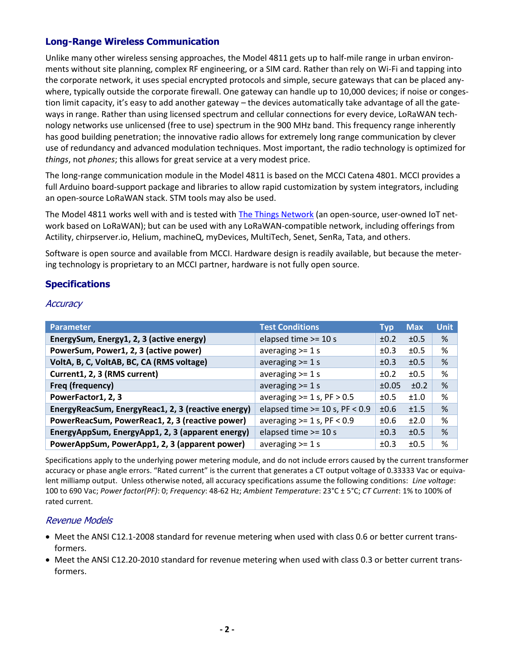# **Long-Range Wireless Communication**

Unlike many other wireless sensing approaches, the Model 4811 gets up to half-mile range in urban environments without site planning, complex RF engineering, or a SIM card. Rather than rely on Wi-Fi and tapping into the corporate network, it uses special encrypted protocols and simple, secure gateways that can be placed anywhere, typically outside the corporate firewall. One gateway can handle up to 10,000 devices; if noise or congestion limit capacity, it's easy to add another gateway – the devices automatically take advantage of all the gateways in range. Rather than using licensed spectrum and cellular connections for every device, LoRaWAN technology networks use unlicensed (free to use) spectrum in the 900 MHz band. This frequency range inherently has good building penetration; the innovative radio allows for extremely long range communication by clever use of redundancy and advanced modulation techniques. Most important, the radio technology is optimized for *things*, not *phones*; this allows for great service at a very modest price.

The long-range communication module in the Model 4811 is based on the MCCI Catena 4801. MCCI provides a full Arduino board-support package and libraries to allow rapid customization by system integrators, including an open-source LoRaWAN stack. STM tools may also be used.

The Model 4811 works well with and is tested wit[h The Things Network](https://thethingsnetwork.org/) (an open-source, user-owned IoT network based on LoRaWAN); but can be used with any LoRaWAN-compatible network, including offerings from Actility, chirpserver.io, Helium, machineQ, myDevices, MultiTech, Senet, SenRa, Tata, and others.

Software is open source and available from MCCI. Hardware design is readily available, but because the metering technology is proprietary to an MCCI partner, hardware is not fully open source.

# **Specifications**

#### **Accuracy**

| <b>Parameter</b>                                   | <b>Test Conditions</b>             | Typ   | <b>Max</b> | <b>Unit</b> |
|----------------------------------------------------|------------------------------------|-------|------------|-------------|
| EnergySum, Energy1, 2, 3 (active energy)           | elapsed time >= 10 s               | ±0.2  | ±0.5       | %           |
| PowerSum, Power1, 2, 3 (active power)              | averaging $>= 1 s$                 | ±0.3  | ±0.5       | %           |
| VoltA, B, C, VoltAB, BC, CA (RMS voltage)          | averaging $>= 1 s$                 | ±0.3  | ±0.5       | %           |
| Current1, 2, 3 (RMS current)                       | averaging $>= 1 s$                 | ±0.2  | ±0.5       | %           |
| Freq (frequency)                                   | averaging $>= 1 s$                 | ±0.05 | ±0.2       | %           |
| PowerFactor1, 2, 3                                 | averaging $>= 1 s$ , PF $> 0.5$    | ±0.5  | ±1.0       | %           |
| EnergyReacSum, EnergyReac1, 2, 3 (reactive energy) | elapsed time $>=$ 10 s, PF $<$ 0.9 | ±0.6  | ±1.5       | %           |
| PowerReacSum, PowerReac1, 2, 3 (reactive power)    | averaging $>= 1 s$ , PF $< 0.9$    | ±0.6  | ±2.0       | %           |
| EnergyAppSum, EnergyApp1, 2, 3 (apparent energy)   | elapsed time >= 10 s               | ±0.3  | ±0.5       | %           |
| PowerAppSum, PowerApp1, 2, 3 (apparent power)      | averaging $>= 1 s$                 | ±0.3  | ±0.5       | %           |

Specifications apply to the underlying power metering module, and do not include errors caused by the current transformer accuracy or phase angle errors. "Rated current" is the current that generates a CT output voltage of 0.33333 Vac or equivalent milliamp output. Unless otherwise noted, all accuracy specifications assume the following conditions: *Line voltage*: 100 to 690 Vac; *Power factor(PF)*: 0; *Frequency*: 48-62 Hz; *Ambient Temperature*: 23°C ± 5°C; *CT Current*: 1% to 100% of rated current.

#### Revenue Models

- Meet the ANSI C12.1-2008 standard for revenue metering when used with class 0.6 or better current transformers.
- Meet the ANSI C12.20-2010 standard for revenue metering when used with class 0.3 or better current transformers.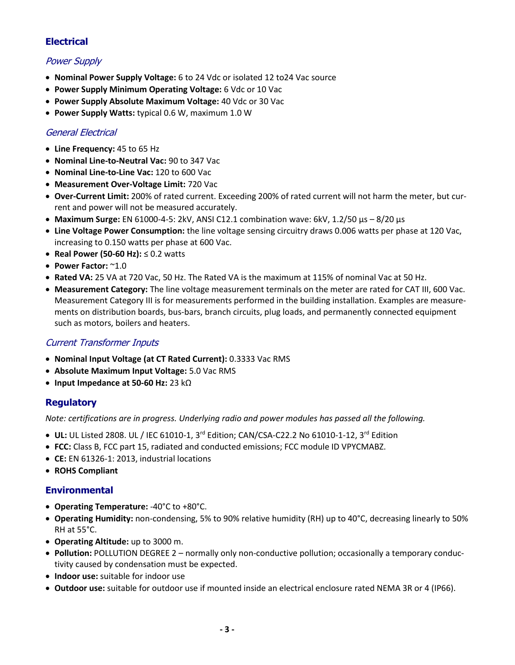# **Electrical**

# Power Supply

- **Nominal Power Supply Voltage:** 6 to 24 Vdc or isolated 12 to24 Vac source
- **Power Supply Minimum Operating Voltage:** 6 Vdc or 10 Vac
- **Power Supply Absolute Maximum Voltage:** 40 Vdc or 30 Vac
- **Power Supply Watts:** typical 0.6 W, maximum 1.0 W

# General Electrical

- **Line Frequency:** 45 to 65 Hz
- **Nominal Line-to-Neutral Vac:** 90 to 347 Vac
- **Nominal Line-to-Line Vac:** 120 to 600 Vac
- **Measurement Over-Voltage Limit:** 720 Vac
- **Over-Current Limit:** 200% of rated current. Exceeding 200% of rated current will not harm the meter, but current and power will not be measured accurately.
- **Maximum Surge:** EN 61000-4-5: 2kV, ANSI C12.1 combination wave: 6kV, 1.2/50 µs 8/20 µs
- **Line Voltage Power Consumption:** the line voltage sensing circuitry draws 0.006 watts per phase at 120 Vac, increasing to 0.150 watts per phase at 600 Vac.
- **Real Power (50-60 Hz):** ≤ 0.2 watts
- **Power Factor:** ~1.0
- **Rated VA:** 25 VA at 720 Vac, 50 Hz. The Rated VA is the maximum at 115% of nominal Vac at 50 Hz.
- **Measurement Category:** The line voltage measurement terminals on the meter are rated for CAT III, 600 Vac. Measurement Category III is for measurements performed in the building installation. Examples are measurements on distribution boards, bus-bars, branch circuits, plug loads, and permanently connected equipment such as motors, boilers and heaters.

# Current Transformer Inputs

- **Nominal Input Voltage (at CT Rated Current):** 0.3333 Vac RMS
- **Absolute Maximum Input Voltage:** 5.0 Vac RMS
- **Input Impedance at 50-60 Hz:** 23 kΩ

#### **Regulatory**

*Note: certifications are in progress. Underlying radio and power modules has passed all the following.*

- **UL:** UL Listed 2808. UL / IEC 61010-1, 3rd Edition; CAN/CSA-C22.2 No 61010-1-12, 3rd Edition
- **FCC:** Class B, FCC part 15, radiated and conducted emissions; FCC module ID VPYCMABZ.
- **CE:** EN 61326-1: 2013, industrial locations
- **ROHS Compliant**

#### **Environmental**

- **Operating Temperature:** -40°C to +80°C.
- **Operating Humidity:** non-condensing, 5% to 90% relative humidity (RH) up to 40°C, decreasing linearly to 50% RH at 55°C.
- **Operating Altitude:** up to 3000 m.
- **Pollution:** POLLUTION DEGREE 2 normally only non-conductive pollution; occasionally a temporary conductivity caused by condensation must be expected.
- **Indoor use:** suitable for indoor use
- **Outdoor use:** suitable for outdoor use if mounted inside an electrical enclosure rated NEMA 3R or 4 (IP66).